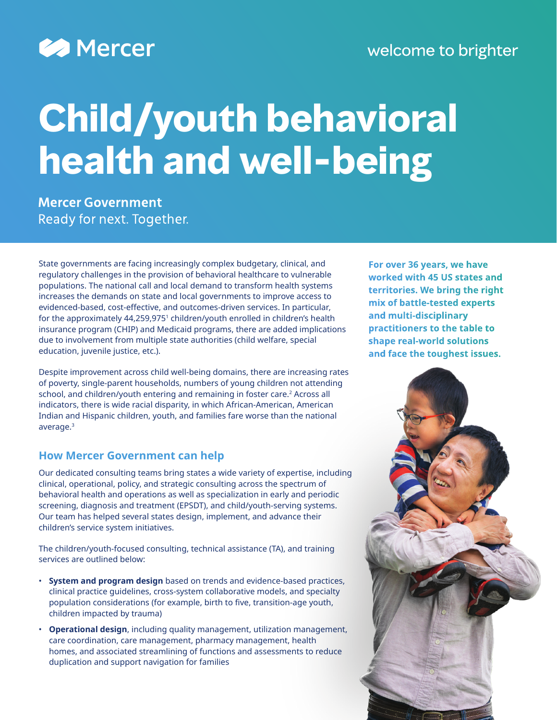## **Example 12**

### welcome to brighter

# **Child/youth behavioral health and well-being**

**Mercer Government** Ready for next. Together.

State governments are facing increasingly complex budgetary, clinical, and regulatory challenges in the provision of behavioral healthcare to vulnerable populations. The national call and local demand to transform health systems increases the demands on state and local governments to improve access to evidenced-based, cost-effective, and outcomes-driven services. In particular, for the approximately 44,259,975<sup>1</sup> children/youth enrolled in children's health insurance program (CHIP) and Medicaid programs, there are added implications due to involvement from multiple state authorities (child welfare, special education, juvenile justice, etc.).

Despite improvement across child well-being domains, there are increasing rates of poverty, single-parent households, numbers of young children not attending school, and children/youth entering and remaining in foster care.<sup>2</sup> Across all indicators, there is wide racial disparity, in which African-American, American Indian and Hispanic children, youth, and families fare worse than the national average.3

#### **How Mercer Government can help**

Our dedicated consulting teams bring states a wide variety of expertise, including clinical, operational, policy, and strategic consulting across the spectrum of behavioral health and operations as well as specialization in early and periodic screening, diagnosis and treatment (EPSDT), and child/youth-serving systems. Our team has helped several states design, implement, and advance their children's service system initiatives.

The children/youth-focused consulting, technical assistance (TA), and training services are outlined below:

- **System and program design** based on trends and evidence-based practices, clinical practice guidelines, cross-system collaborative models, and specialty population considerations (for example, birth to five, transition-age youth, children impacted by trauma)
- **Operational design**, including quality management, utilization management, care coordination, care management, pharmacy management, health homes, and associated streamlining of functions and assessments to reduce duplication and support navigation for families

**For over 36 years, we have worked with 45 US states and territories. We bring the right mix of battle-tested experts and multi-disciplinary practitioners to the table to shape real-world solutions and face the toughest issues.**